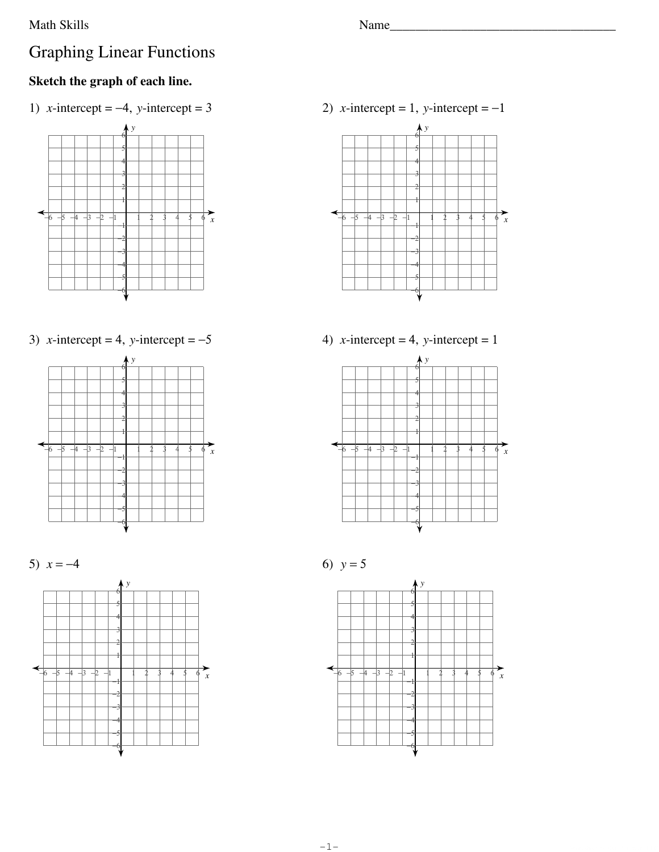## **Math Skills**

## **Graphing Linear Functions**

## Sketch the graph of each line.

1) x-intercept = -4, y-intercept = 3



3) *x*-intercept = 4, *y*-intercept =  $-5$ 







2) x-intercept = 1, y-intercept =  $-1$ 











Name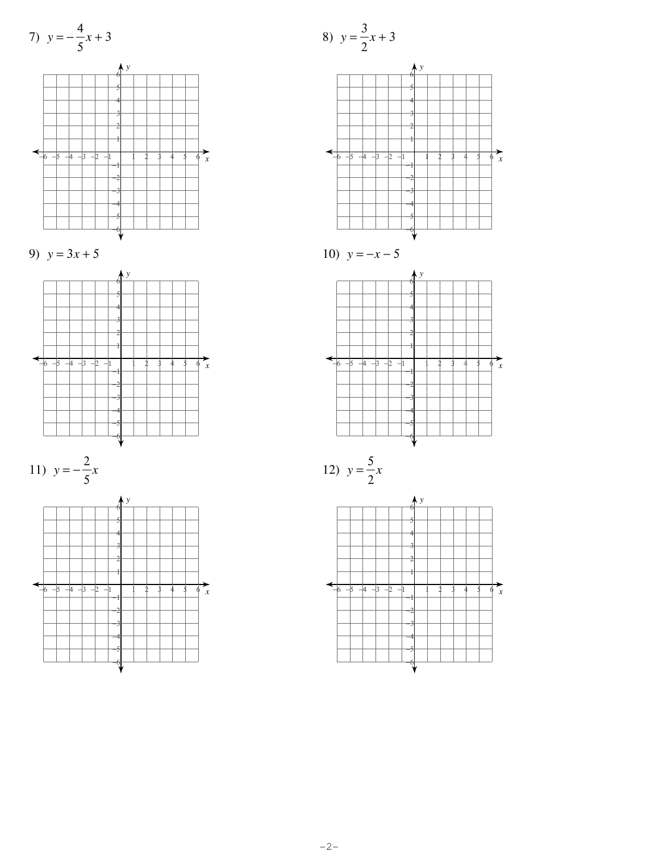7) 
$$
y = -\frac{4}{5}x + 3
$$















$$
10) \ \ y = -x - 5
$$



$$
12) \ \ y = \frac{5}{2}x
$$